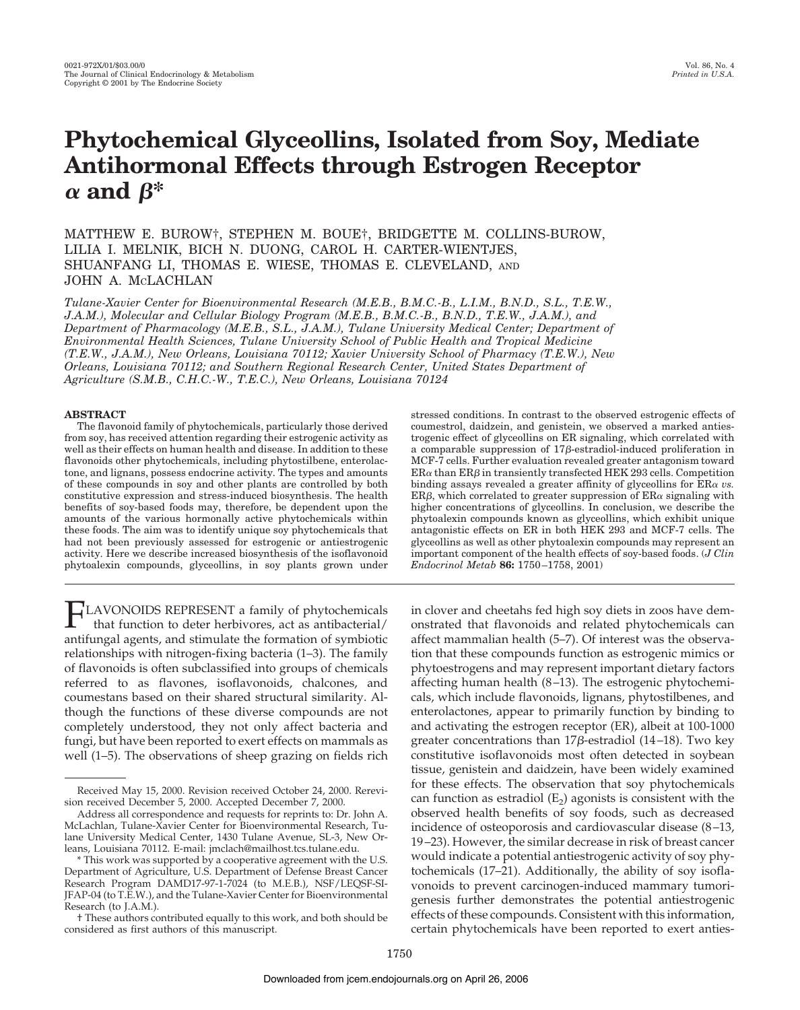# **Phytochemical Glyceollins, Isolated from Soy, Mediate Antihormonal Effects through Estrogen Receptor**  $\alpha$  and  $\beta^*$

MATTHEW E. BUROW†, STEPHEN M. BOUE†, BRIDGETTE M. COLLINS-BUROW, LILIA I. MELNIK, BICH N. DUONG, CAROL H. CARTER-WIENTJES, SHUANFANG LI, THOMAS E. WIESE, THOMAS E. CLEVELAND, AND JOHN A. MCLACHLAN

*Tulane-Xavier Center for Bioenvironmental Research (M.E.B., B.M.C.-B., L.I.M., B.N.D., S.L., T.E.W., J.A.M.), Molecular and Cellular Biology Program (M.E.B., B.M.C.-B., B.N.D., T.E.W., J.A.M.), and Department of Pharmacology (M.E.B., S.L., J.A.M.), Tulane University Medical Center; Department of Environmental Health Sciences, Tulane University School of Public Health and Tropical Medicine (T.E.W., J.A.M.), New Orleans, Louisiana 70112; Xavier University School of Pharmacy (T.E.W.), New Orleans, Louisiana 70112; and Southern Regional Research Center, United States Department of Agriculture (S.M.B., C.H.C.-W., T.E.C.), New Orleans, Louisiana 70124*

## **ABSTRACT**

The flavonoid family of phytochemicals, particularly those derived from soy, has received attention regarding their estrogenic activity as well as their effects on human health and disease. In addition to these flavonoids other phytochemicals, including phytostilbene, enterolactone, and lignans, possess endocrine activity. The types and amounts of these compounds in soy and other plants are controlled by both constitutive expression and stress-induced biosynthesis. The health benefits of soy-based foods may, therefore, be dependent upon the amounts of the various hormonally active phytochemicals within these foods. The aim was to identify unique soy phytochemicals that had not been previously assessed for estrogenic or antiestrogenic activity. Here we describe increased biosynthesis of the isoflavonoid phytoalexin compounds, glyceollins, in soy plants grown under

FLAVONOIDS REPRESENT <sup>a</sup> family of phytochemicals that function to deter herbivores, act as antibacterial/ antifungal agents, and stimulate the formation of symbiotic relationships with nitrogen-fixing bacteria (1–3). The family of flavonoids is often subclassified into groups of chemicals referred to as flavones, isoflavonoids, chalcones, and coumestans based on their shared structural similarity. Although the functions of these diverse compounds are not completely understood, they not only affect bacteria and fungi, but have been reported to exert effects on mammals as well (1–5). The observations of sheep grazing on fields rich stressed conditions. In contrast to the observed estrogenic effects of coumestrol, daidzein, and genistein, we observed a marked antiestrogenic effect of glyceollins on ER signaling, which correlated with a comparable suppression of  $17\beta$ -estradiol-induced proliferation in MCF-7 cells. Further evaluation revealed greater antagonism toward  $ER\alpha$  than  $ER\beta$  in transiently transfected HEK 293 cells. Competition binding assays revealed a greater affinity of glyceollins for  $ER\alpha$  *vs.*  $ER\beta$ , which correlated to greater suppression of  $ER\alpha$  signaling with higher concentrations of glyceollins. In conclusion, we describe the phytoalexin compounds known as glyceollins, which exhibit unique antagonistic effects on ER in both HEK 293 and MCF-7 cells. The glyceollins as well as other phytoalexin compounds may represent an important component of the health effects of soy-based foods. (*J Clin Endocrinol Metab* **86:** 1750–1758, 2001)

in clover and cheetahs fed high soy diets in zoos have demonstrated that flavonoids and related phytochemicals can affect mammalian health (5–7). Of interest was the observation that these compounds function as estrogenic mimics or phytoestrogens and may represent important dietary factors affecting human health (8–13). The estrogenic phytochemicals, which include flavonoids, lignans, phytostilbenes, and enterolactones, appear to primarily function by binding to and activating the estrogen receptor (ER), albeit at 100-1000 greater concentrations than  $17\beta$ -estradiol (14–18). Two key constitutive isoflavonoids most often detected in soybean tissue, genistein and daidzein, have been widely examined for these effects. The observation that soy phytochemicals can function as estradiol  $(E_2)$  agonists is consistent with the observed health benefits of soy foods, such as decreased incidence of osteoporosis and cardiovascular disease (8–13, 19–23). However, the similar decrease in risk of breast cancer would indicate a potential antiestrogenic activity of soy phytochemicals (17–21). Additionally, the ability of soy isoflavonoids to prevent carcinogen-induced mammary tumorigenesis further demonstrates the potential antiestrogenic effects of these compounds. Consistent with this information, certain phytochemicals have been reported to exert anties-

Received May 15, 2000. Revision received October 24, 2000. Rerevision received December 5, 2000. Accepted December 7, 2000.

Address all correspondence and requests for reprints to: Dr. John A. McLachlan, Tulane-Xavier Center for Bioenvironmental Research, Tulane University Medical Center, 1430 Tulane Avenue, SL-3, New Orleans, Louisiana 70112. E-mail: jmclach@mailhost.tcs.tulane.edu.

<sup>\*</sup> This work was supported by a cooperative agreement with the U.S. Department of Agriculture, U.S. Department of Defense Breast Cancer Research Program DAMD17-97-1-7024 (to M.E.B.), NSF/LEQSF-SI-JFAP-04 (to T.E.W.), and the Tulane-Xavier Centerfor Bioenvironmental Research (to J.A.M.).

<sup>†</sup> These authors contributed equally to this work, and both should be considered as first authors of this manuscript.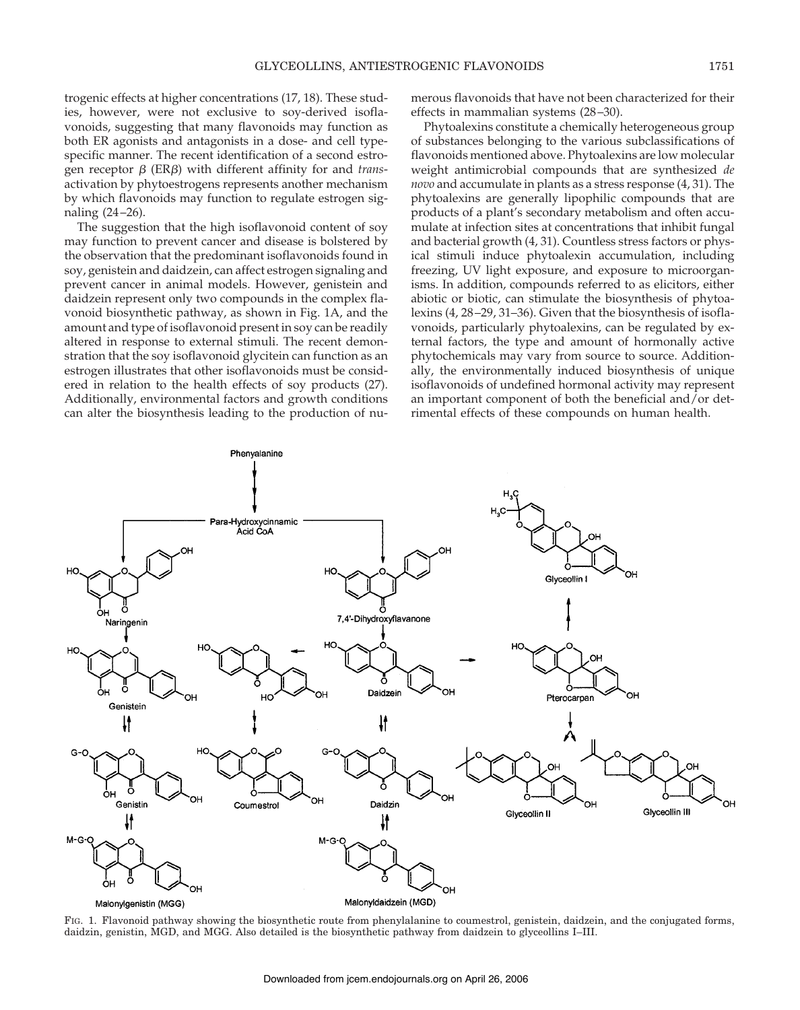trogenic effects at higher concentrations (17, 18). These studies, however, were not exclusive to soy-derived isoflavonoids, suggesting that many flavonoids may function as both ER agonists and antagonists in a dose- and cell typespecific manner. The recent identification of a second estrogen receptor  $\beta$  (ER $\beta$ ) with different affinity for and *trans*activation by phytoestrogens represents another mechanism by which flavonoids may function to regulate estrogen signaling (24–26).

The suggestion that the high isoflavonoid content of soy may function to prevent cancer and disease is bolstered by the observation that the predominant isoflavonoids found in soy, genistein and daidzein, can affect estrogen signaling and prevent cancer in animal models. However, genistein and daidzein represent only two compounds in the complex flavonoid biosynthetic pathway, as shown in Fig. 1A, and the amount and type of isoflavonoid present in soy can be readily altered in response to external stimuli. The recent demonstration that the soy isoflavonoid glycitein can function as an estrogen illustrates that other isoflavonoids must be considered in relation to the health effects of soy products (27). Additionally, environmental factors and growth conditions can alter the biosynthesis leading to the production of numerous flavonoids that have not been characterized for their effects in mammalian systems (28–30).

Phytoalexins constitute a chemically heterogeneous group of substances belonging to the various subclassifications of flavonoids mentioned above. Phytoalexins are low molecular weight antimicrobial compounds that are synthesized *de novo* and accumulate in plants as a stress response (4, 31). The phytoalexins are generally lipophilic compounds that are products of a plant's secondary metabolism and often accumulate at infection sites at concentrations that inhibit fungal and bacterial growth (4, 31). Countless stress factors or physical stimuli induce phytoalexin accumulation, including freezing, UV light exposure, and exposure to microorganisms. In addition, compounds referred to as elicitors, either abiotic or biotic, can stimulate the biosynthesis of phytoalexins (4, 28–29, 31–36). Given that the biosynthesis of isoflavonoids, particularly phytoalexins, can be regulated by external factors, the type and amount of hormonally active phytochemicals may vary from source to source. Additionally, the environmentally induced biosynthesis of unique isoflavonoids of undefined hormonal activity may represent an important component of both the beneficial and/or detrimental effects of these compounds on human health.



FIG. 1. Flavonoid pathway showing the biosynthetic route from phenylalanine to coumestrol, genistein, daidzein, and the conjugated forms, daidzin, genistin, MGD, and MGG. Also detailed is the biosynthetic pathway from daidzein to glyceollins I–III.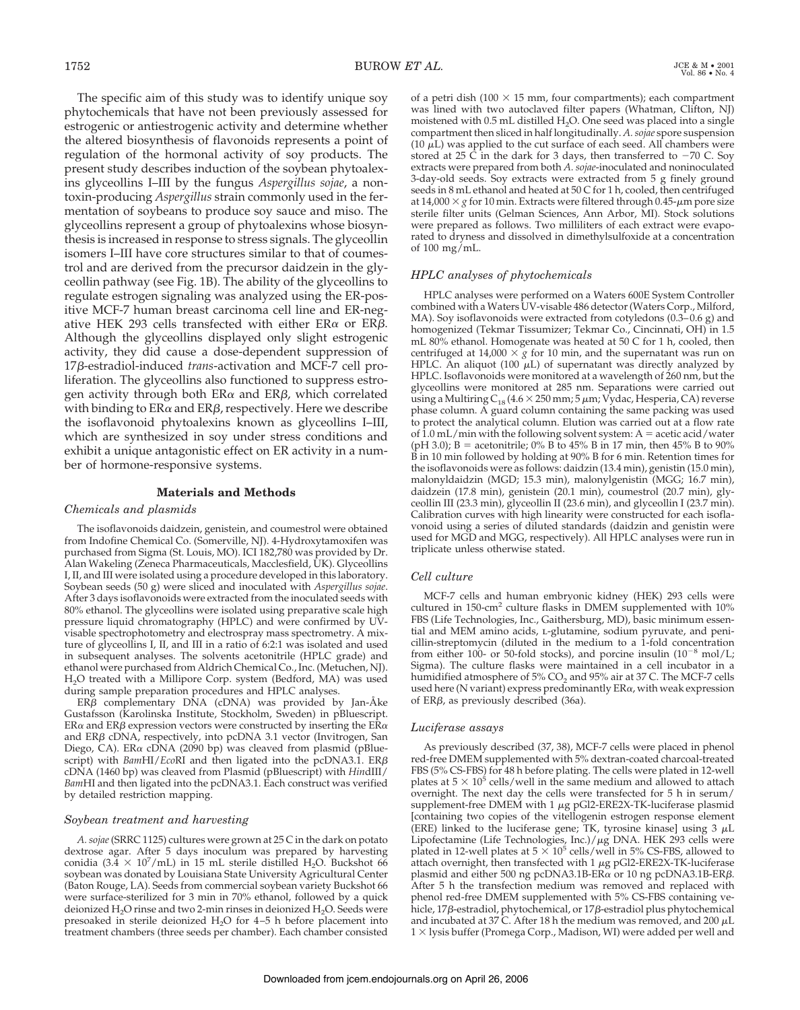The specific aim of this study was to identify unique soy phytochemicals that have not been previously assessed for estrogenic or antiestrogenic activity and determine whether the altered biosynthesis of flavonoids represents a point of regulation of the hormonal activity of soy products. The present study describes induction of the soybean phytoalexins glyceollins I–III by the fungus *Aspergillus sojae*, a nontoxin-producing *Aspergillus* strain commonly used in the fermentation of soybeans to produce soy sauce and miso. The glyceollins represent a group of phytoalexins whose biosynthesis is increased in response to stress signals. The glyceollin isomers I–III have core structures similar to that of coumestrol and are derived from the precursor daidzein in the glyceollin pathway (see Fig. 1B). The ability of the glyceollins to regulate estrogen signaling was analyzed using the ER-positive MCF-7 human breast carcinoma cell line and ER-negative HEK 293 cells transfected with either  $ER\alpha$  or  $ER\beta$ . Although the glyceollins displayed only slight estrogenic activity, they did cause a dose-dependent suppression of 17β-estradiol-induced *trans*-activation and MCF-7 cell proliferation. The glyceollins also functioned to suppress estrogen activity through both  $ER\alpha$  and  $ER\beta$ , which correlated with binding to  $ER\alpha$  and  $ER\beta$ , respectively. Here we describe the isoflavonoid phytoalexins known as glyceollins I–III, which are synthesized in soy under stress conditions and exhibit a unique antagonistic effect on ER activity in a number of hormone-responsive systems.

# **Materials and Methods**

# *Chemicals and plasmids*

The isoflavonoids daidzein, genistein, and coumestrol were obtained from Indofine Chemical Co. (Somerville, NJ). 4-Hydroxytamoxifen was purchased from Sigma (St. Louis, MO). ICI 182,780 was provided by Dr. Alan Wakeling (Zeneca Pharmaceuticals, Macclesfield, UK). Glyceollins I, II, and III were isolated using a procedure developed in this laboratory. Soybean seeds (50 g) were sliced and inoculated with *Aspergillus sojae*. After 3 days isoflavonoids were extracted from the inoculated seeds with 80% ethanol. The glyceollins were isolated using preparative scale high pressure liquid chromatography (HPLC) and were confirmed by UVvisable spectrophotometry and electrospray mass spectrometry. A mixture of glyceollins I, II, and III in a ratio of 6:2:1 was isolated and used in subsequent analyses. The solvents acetonitrile (HPLC grade) and ethanol were purchased from Aldrich Chemical Co., Inc. (Metuchen, NJ). H2O treated with a Millipore Corp. system (Bedford, MA) was used during sample preparation procedures and HPLC analyses.

 $ER\beta$  complementary DNA (cDNA) was provided by Jan-Åke Gustafsson (Karolinska Institute, Stockholm, Sweden) in pBluescript.  $ER\alpha$  and  $ER\beta$  expression vectors were constructed by inserting the  $ER\alpha$ and ER $\beta$  cDNA, respectively, into pcDNA 3.1 vector (Invitrogen, San Diego, CA). ER $\alpha$  cDNA (2090 bp) was cleaved from plasmid (pBluescript) with *BamHI/EcoRI* and then ligated into the pcDNA3.1. ER $\beta$ cDNA (1460 bp) was cleaved from Plasmid (pBluescript) with *Hin*dIII/ *Bam*HI and then ligated into the pcDNA3.1. Each construct was verified by detailed restriction mapping.

#### *Soybean treatment and harvesting*

*A.sojae*(SRRC 1125) cultures were grown at 25 C in the dark on potato dextrose agar. After 5 days inoculum was prepared by harvesting conidia  $(3.\overline{4} \times 10^7/\text{mL})$  in 15 mL sterile distilled H<sub>2</sub>O. Buckshot 66 soybean was donated by Louisiana State University Agricultural Center (Baton Rouge, LA). Seeds from commercial soybean variety Buckshot 66 were surface-sterilized for 3 min in 70% ethanol, followed by a quick deionized  $H_2O$  rinse and two 2-min rinses in deionized  $H_2O$ . Seeds were presoaked in sterile deionized  $H_2O$  for 4–5 h before placement into treatment chambers (three seeds per chamber). Each chamber consisted of a petri dish (100  $\times$  15 mm, four compartments); each compartment was lined with two autoclaved filter papers (Whatman, Clifton, NJ) moistened with  $0.5$  mL distilled  $H_2O$ . One seed was placed into a single compartment then sliced in half longitudinally. *A.sojae* spore suspension (10  $\mu$ L) was applied to the cut surface of each seed. All chambers were stored at 25 C in the dark for 3 days, then transferred to  $-70$  C. Soy extracts were prepared from both *A. sojae*-inoculated and noninoculated 3-day-old seeds. Soy extracts were extracted from 5 g finely ground seeds in 8 mL ethanol and heated at 50 C for 1 h, cooled, then centrifuged at  $14,000 \times g$  for 10 min. Extracts were filtered through 0.45- $\mu$ m pore size sterile filter units (Gelman Sciences, Ann Arbor, MI). Stock solutions were prepared as follows. Two milliliters of each extract were evaporated to dryness and dissolved in dimethylsulfoxide at a concentration of 100 mg/mL.

#### *HPLC analyses of phytochemicals*

HPLC analyses were performed on a Waters 600E System Controller combined with a Waters UV-visable 486 detector (Waters Corp., Milford, MA). Soy isoflavonoids were extracted from cotyledons (0.3–0.6 g) and homogenized (Tekmar Tissumizer; Tekmar Co., Cincinnati, OH) in 1.5 mL 80% ethanol. Homogenate was heated at 50 C for 1 h, cooled, then centrifuged at 14,000  $\times g$  for 10 min, and the supernatant was run on HPLC. An aliquot (100  $\mu$ L) of supernatant was directly analyzed by HPLC. Isoflavonoids were monitored at a wavelength of 260 nm, but the glyceollins were monitored at 285 nm. Separations were carried out using a Multiring  $C_{18}$  (4.6  $\times$  250 mm; 5  $\mu$ m; Vydac, Hesperia, CA) reverse phase column. A guard column containing the same packing was used to protect the analytical column. Elution was carried out at a flow rate of  $1.0$  mL/min with the following solvent system: A = acetic acid/water (pH 3.0); B = acetonitrile; 0% B to 45% B in 17 min, then 45% B to 90% B in 10 min followed by holding at 90% B for 6 min. Retention times for the isoflavonoids were as follows: daidzin (13.4 min), genistin (15.0 min), malonyldaidzin (MGD; 15.3 min), malonylgenistin (MGG; 16.7 min), daidzein (17.8 min), genistein (20.1 min), coumestrol (20.7 min), glyceollin III (23.3 min), glyceollin II (23.6 min), and glyceollin I (23.7 min). Calibration curves with high linearity were constructed for each isoflavonoid using a series of diluted standards (daidzin and genistin were used for MGD and MGG, respectively). All HPLC analyses were run in triplicate unless otherwise stated.

#### *Cell culture*

MCF-7 cells and human embryonic kidney (HEK) 293 cells were cultured in 150-cm<sup>2</sup> culture flasks in DMEM supplemented with 10% FBS (Life Technologies, Inc., Gaithersburg, MD), basic minimum essential and MEM amino acids, *L*-glutamine, sodium pyruvate, and penicillin-streptomycin (diluted in the medium to a 1-fold concentration from either 100- or 50-fold stocks), and porcine insulin  $(10^{-8} \text{ mol/L})$ ; Sigma). The culture flasks were maintained in a cell incubator in a humidified atmosphere of 5%  $CO<sub>2</sub>$  and 95% air at 37 C. The MCF-7 cells used here (N variant) express predominantly  $ER\alpha$ , with weak expression of  $ER\beta$ , as previously described (36a).

#### *Luciferase assays*

As previously described (37, 38), MCF-7 cells were placed in phenol red-free DMEM supplemented with 5% dextran-coated charcoal-treated FBS (5% CS-FBS) for 48 h before plating. The cells were plated in 12-well plates at  $5 \times 10^5$  cells/well in the same medium and allowed to attach overnight. The next day the cells were transfected for 5 h in serum/ supplement-free DMEM with 1  $\mu$ g pGl2-ERE2X-TK-luciferase plasmid [containing two copies of the vitellogenin estrogen response element (ERE) linked to the luciferase gene; TK, tyrosine kinase] using  $3 \mu L$ Lipofectamine (Life Technologies, Inc.)/ $\mu$ g DNA. HEK 293 cells were plated in 12-well plates at 5  $\times$  10<sup>5</sup> cells/well in 5% CS-FBS, allowed to attach overnight, then transfected with 1  $\mu$ g pGl2-ERE2X-TK-luciferase plasmid and either 500 ng pcDNA3.1B-ER $\alpha$  or 10 ng pcDNA3.1B-ER $\beta$ . After 5 h the transfection medium was removed and replaced with phenol red-free DMEM supplemented with 5% CS-FBS containing vehicle, 17 $\beta$ -estradiol, phytochemical, or 17 $\beta$ -estradiol plus phytochemical and incubated at 37 C. After 18 h the medium was removed, and 200  $\mu$ L  $1 \times$  lysis buffer (Promega Corp., Madison, WI) were added per well and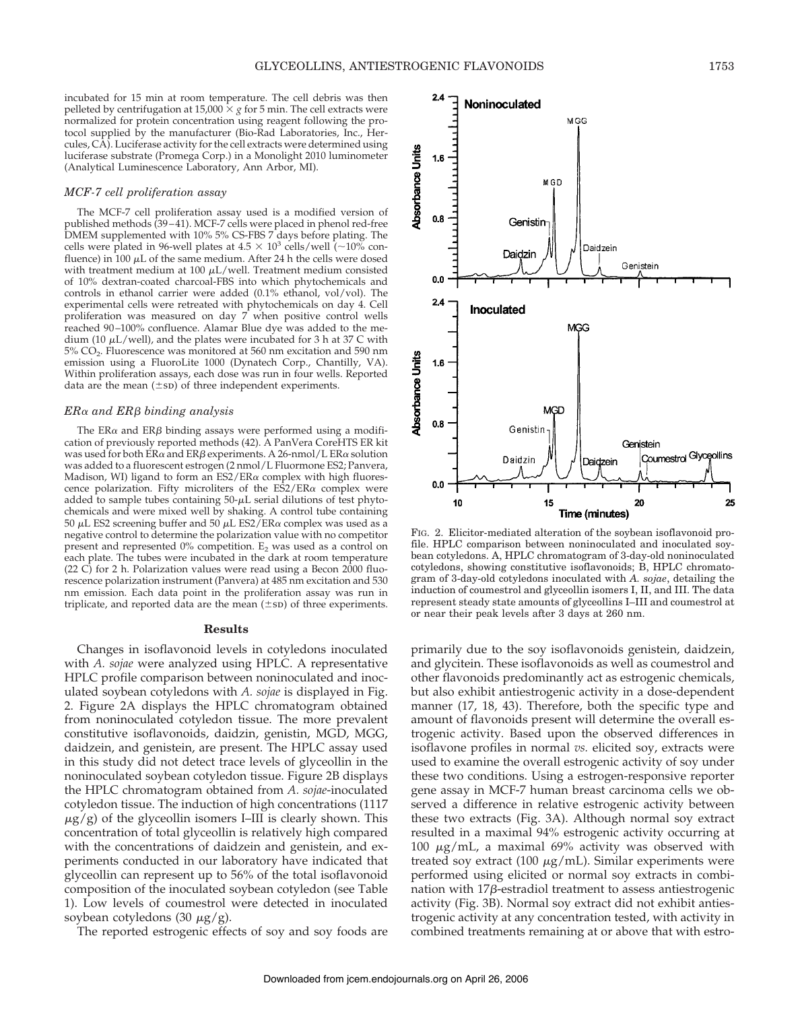incubated for 15 min at room temperature. The cell debris was then pelleted by centrifugation at 15,000  $\times$  *g* for 5 min. The cell extracts were normalized for protein concentration using reagent following the protocol supplied by the manufacturer (Bio-Rad Laboratories, Inc., Hercules, CA). Luciferase activity for the cell extracts were determined using luciferase substrate (Promega Corp.) in a Monolight 2010 luminometer (Analytical Luminescence Laboratory, Ann Arbor, MI).

## *MCF-7 cell proliferation assay*

The MCF-7 cell proliferation assay used is a modified version of published methods (39–41). MCF-7 cells were placed in phenol red-free DMEM supplemented with 10% 5% CS-FBS 7 days before plating. The cells were plated in 96-well plates at  $4.5 \times 10^3$  cells/well (~10% confluence) in 100  $\mu$ L of the same medium. After 24 h the cells were dosed with treatment medium at 100  $\mu$ L/well. Treatment medium consisted of 10% dextran-coated charcoal-FBS into which phytochemicals and controls in ethanol carrier were added (0.1% ethanol, vol/vol). The experimental cells were retreated with phytochemicals on day 4. Cell proliferation was measured on day 7 when positive control wells reached 90–100% confluence. Alamar Blue dye was added to the medium (10  $\mu$ L/well), and the plates were incubated for 3 h at 37 C with 5% CO2. Fluorescence was monitored at 560 nm excitation and 590 nm emission using a FluoroLite 1000 (Dynatech Corp., Chantilly, VA). Within proliferation assays, each dose was run in four wells. Reported data are the mean  $(\pm s_D)$  of three independent experiments.

# *ER*" *and ER*! *binding analysis*

The ER $\alpha$  and ER $\beta$  binding assays were performed using a modification of previously reported methods (42). A PanVera CoreHTS ER kit was used for both ER $\alpha$  and ER $\beta$  experiments. A 26-nmol/L ER $\alpha$  solution was added to a fluorescent estrogen (2 nmol/L Fluormone ES2; Panvera, Madison, WI) ligand to form an  $ES2/ER\alpha$  complex with high fluorescence polarization. Fifty microliters of the  $E\hat{S}2/ER\alpha$  complex were added to sample tubes containing  $50-\mu L$  serial dilutions of test phytochemicals and were mixed well by shaking. A control tube containing 50  $\mu$ L ES2 screening buffer and 50  $\mu$ L ES2/ER $\alpha$  complex was used as a negative control to determine the polarization value with no competitor present and represented  $0\%$  competition.  $E_2$  was used as a control on each plate. The tubes were incubated in the dark at room temperature (22 C) for 2 h. Polarization values were read using a Becon 2000 fluorescence polarization instrument (Panvera) at 485 nm excitation and 530 nm emission. Each data point in the proliferation assay was run in triplicate, and reported data are the mean  $(\pm s_D)$  of three experiments.

## **Results**

Changes in isoflavonoid levels in cotyledons inoculated with *A. sojae* were analyzed using HPLC. A representative HPLC profile comparison between noninoculated and inoculated soybean cotyledons with *A. sojae* is displayed in Fig. 2. Figure 2A displays the HPLC chromatogram obtained from noninoculated cotyledon tissue. The more prevalent constitutive isoflavonoids, daidzin, genistin, MGD, MGG, daidzein, and genistein, are present. The HPLC assay used in this study did not detect trace levels of glyceollin in the noninoculated soybean cotyledon tissue. Figure 2B displays the HPLC chromatogram obtained from *A. sojae*-inoculated cotyledon tissue. The induction of high concentrations (1117  $\mu$ g/g) of the glyceollin isomers I–III is clearly shown. This concentration of total glyceollin is relatively high compared with the concentrations of daidzein and genistein, and experiments conducted in our laboratory have indicated that glyceollin can represent up to 56% of the total isoflavonoid composition of the inoculated soybean cotyledon (see Table 1). Low levels of coumestrol were detected in inoculated soybean cotyledons (30  $\mu$ g/g).

The reported estrogenic effects of soy and soy foods are



FIG. 2. Elicitor-mediated alteration of the soybean isoflavonoid profile. HPLC comparison between noninoculated and inoculated soybean cotyledons. A, HPLC chromatogram of 3-day-old noninoculated cotyledons, showing constitutive isoflavonoids; B, HPLC chromatogram of 3-day-old cotyledons inoculated with *A. sojae*, detailing the induction of coumestrol and glyceollin isomers I, II, and III. The data represent steady state amounts of glyceollins I–III and coumestrol at or near their peak levels after 3 days at 260 nm.

primarily due to the soy isoflavonoids genistein, daidzein, and glycitein. These isoflavonoids as well as coumestrol and other flavonoids predominantly act as estrogenic chemicals, but also exhibit antiestrogenic activity in a dose-dependent manner (17, 18, 43). Therefore, both the specific type and amount of flavonoids present will determine the overall estrogenic activity. Based upon the observed differences in isoflavone profiles in normal *vs.* elicited soy, extracts were used to examine the overall estrogenic activity of soy under these two conditions. Using a estrogen-responsive reporter gene assay in MCF-7 human breast carcinoma cells we observed a difference in relative estrogenic activity between these two extracts (Fig. 3A). Although normal soy extract resulted in a maximal 94% estrogenic activity occurring at 100  $\mu$ g/mL, a maximal 69% activity was observed with treated soy extract (100  $\mu$ g/mL). Similar experiments were performed using elicited or normal soy extracts in combination with  $17\beta$ -estradiol treatment to assess antiestrogenic activity (Fig. 3B). Normal soy extract did not exhibit antiestrogenic activity at any concentration tested, with activity in combined treatments remaining at or above that with estro-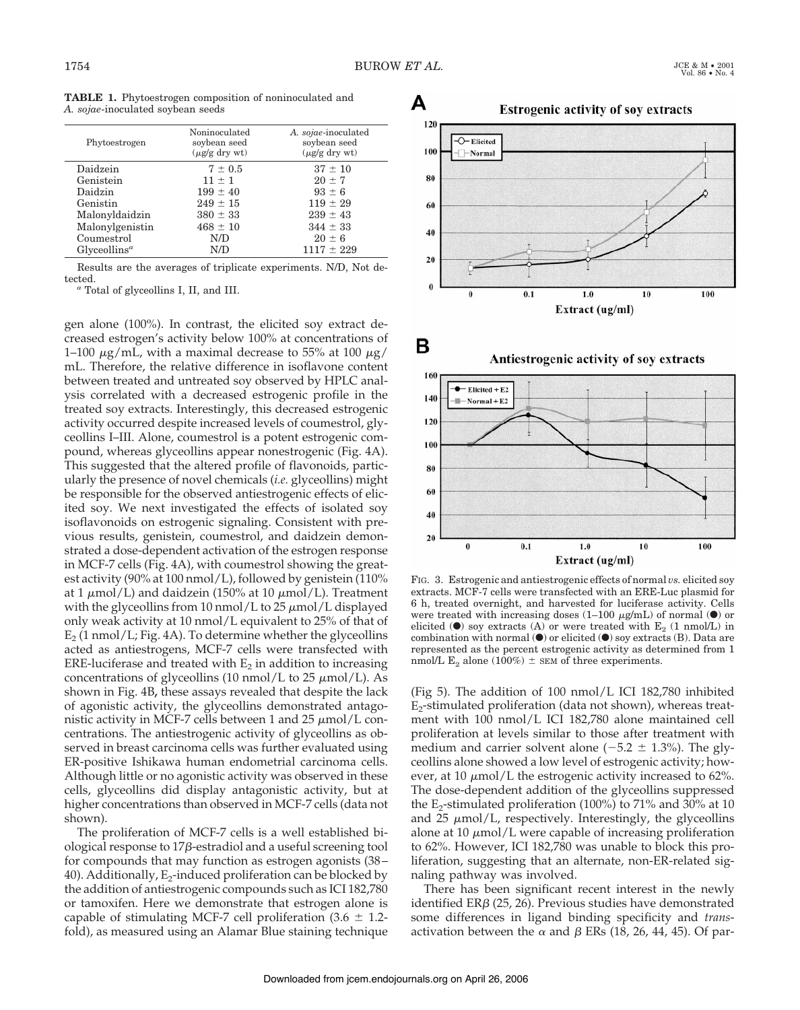|                                   | TABLE 1. Phytoestrogen composition of noninoculated and |  |
|-----------------------------------|---------------------------------------------------------|--|
| A. sojae-inoculated soybean seeds |                                                         |  |

| Phytoestrogen            | Noninoculated<br>soybean seed<br>$(\mu$ g/g dry wt) | A. sojae-inoculated<br>soybean seed<br>$(\mu$ g/g dry wt) |
|--------------------------|-----------------------------------------------------|-----------------------------------------------------------|
| Daidzein                 | $7 \pm 0.5$                                         | $37 \pm 10$                                               |
| Genistein                | $11 + 1$                                            | $20 \pm 7$                                                |
| Daidzin                  | $199 \pm 40$                                        | $93 \pm 6$                                                |
| Genistin                 | $249 \pm 15$                                        | $119 \pm 29$                                              |
| Malonyldaidzin           | $380 \pm 33$                                        | $239 \pm 43$                                              |
| Malonylgenistin          | $468 \pm 10$                                        | $344 \pm 33$                                              |
| Coumestrol               | N/D                                                 | $20 \pm 6$                                                |
| Glyceollins <sup>a</sup> | N/D                                                 | $1117 \pm 229$                                            |
|                          |                                                     |                                                           |

Results are the averages of triplicate experiments. N/D, Not detected. *<sup>a</sup>* Total of glyceollins I, II, and III.

gen alone (100%). In contrast, the elicited soy extract decreased estrogen's activity below 100% at concentrations of 1–100  $\mu$ g/mL, with a maximal decrease to 55% at 100  $\mu$ g/ mL. Therefore, the relative difference in isoflavone content between treated and untreated soy observed by HPLC analysis correlated with a decreased estrogenic profile in the treated soy extracts. Interestingly, this decreased estrogenic activity occurred despite increased levels of coumestrol, glyceollins I–III. Alone, coumestrol is a potent estrogenic compound, whereas glyceollins appear nonestrogenic (Fig. 4A). This suggested that the altered profile of flavonoids, particularly the presence of novel chemicals (*i.e.* glyceollins) might be responsible for the observed antiestrogenic effects of elicited soy. We next investigated the effects of isolated soy isoflavonoids on estrogenic signaling. Consistent with previous results, genistein, coumestrol, and daidzein demonstrated a dose-dependent activation of the estrogen response in MCF-7 cells (Fig. 4A), with coumestrol showing the greatest activity (90% at 100 nmol/L), followed by genistein (110% at 1  $\mu$ mol/L) and daidzein (150% at 10  $\mu$ mol/L). Treatment with the glyceollins from 10 nmol/L to  $25 \mu$ mol/L displayed only weak activity at 10 nmol/L equivalent to 25% of that of  $E_2$  (1 nmol/L; Fig. 4A). To determine whether the glyceollins acted as antiestrogens, MCF-7 cells were transfected with ERE-luciferase and treated with  $E<sub>2</sub>$  in addition to increasing concentrations of glyceollins (10 nmol/L to 25  $\mu$ mol/L). As shown in Fig. 4B**,** these assays revealed that despite the lack of agonistic activity, the glyceollins demonstrated antagonistic activity in MCF-7 cells between 1 and 25  $\mu$ mol/L concentrations. The antiestrogenic activity of glyceollins as observed in breast carcinoma cells was further evaluated using ER-positive Ishikawa human endometrial carcinoma cells. Although little or no agonistic activity was observed in these cells, glyceollins did display antagonistic activity, but at higher concentrations than observed in MCF-7 cells (data not shown).

The proliferation of MCF-7 cells is a well established biological response to  $17\beta$ -estradiol and a useful screening tool for compounds that may function as estrogen agonists (38– 40). Additionally,  $E_2$ -induced proliferation can be blocked by the addition of antiestrogenic compounds such as ICI 182,780 or tamoxifen. Here we demonstrate that estrogen alone is capable of stimulating MCF-7 cell proliferation  $(3.6 \pm 1.2$ fold), as measured using an Alamar Blue staining technique





FIG. 3. Estrogenic and antiestrogenic effects of normal *vs.* elicited soy extracts. MCF-7 cells were transfected with an ERE-Luc plasmid for 6 h, treated overnight, and harvested for luciferase activity. Cells were treated with increasing doses  $(1-100 \mu g/mL)$  of normal ( $\bullet$ ) or elicited  $\bullet$  soy extracts (A) or were treated with E<sub>2</sub> (1 nmol/L) in combination with normal  $\left( \bullet \right)$  or elicited  $\left( \bullet \right)$  soy extracts (B). Data are represented as the percent estrogenic activity as determined from 1 nmol/L  $E_2$  alone (100%)  $\pm$  SEM of three experiments.

(Fig 5). The addition of 100 nmol/L ICI 182,780 inhibited  $E_2$ -stimulated proliferation (data not shown), whereas treatment with 100 nmol/L ICI 182,780 alone maintained cell proliferation at levels similar to those after treatment with medium and carrier solvent alone  $(-5.2 \pm 1.3%)$ . The glyceollins alone showed a low level of estrogenic activity; however, at 10  $\mu$ mol/L the estrogenic activity increased to 62%. The dose-dependent addition of the glyceollins suppressed the  $E_2$ -stimulated proliferation (100%) to 71% and 30% at 10 and  $25 \mu \text{mol/L}$ , respectively. Interestingly, the glyceollins alone at 10  $\mu$ mol/L were capable of increasing proliferation to 62%. However, ICI 182,780 was unable to block this proliferation, suggesting that an alternate, non-ER-related signaling pathway was involved.

There has been significant recent interest in the newly identified ER $\beta$  (25, 26). Previous studies have demonstrated some differences in ligand binding specificity and *trans*activation between the  $\alpha$  and  $\beta$  ERs (18, 26, 44, 45). Of par-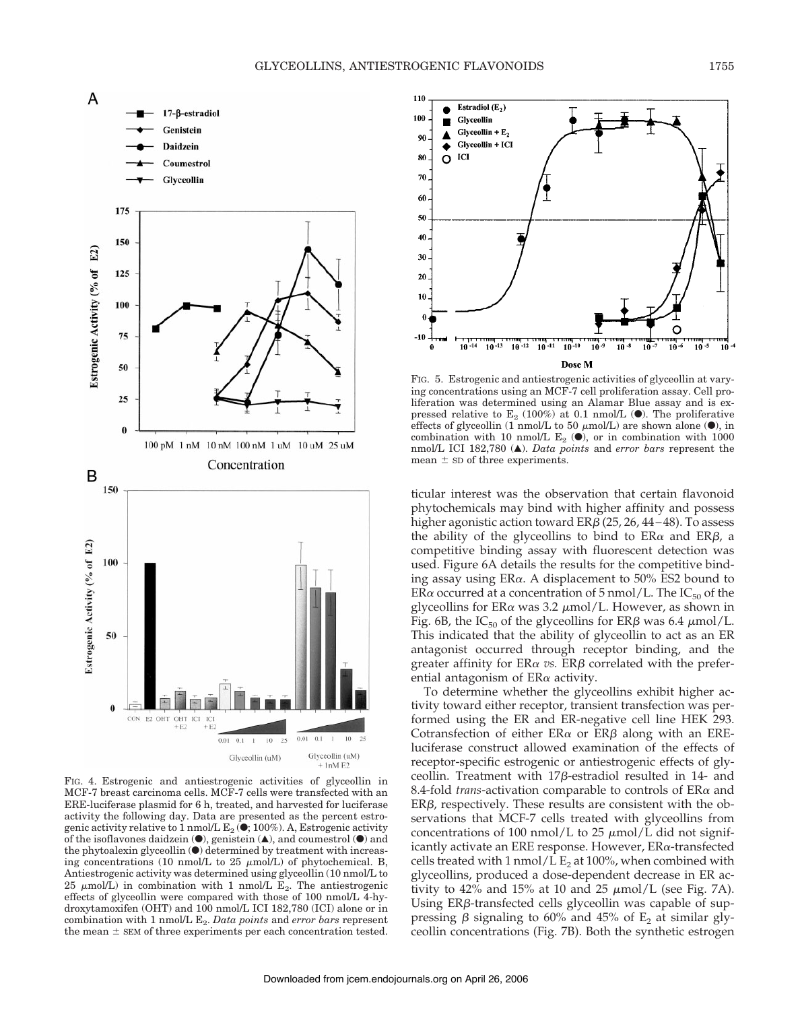

FIG. 4. Estrogenic and antiestrogenic activities of glyceollin in MCF-7 breast carcinoma cells. MCF-7 cells were transfected with an ERE-luciferase plasmid for 6 h, treated, and harvested for luciferase activity the following day. Data are presented as the percent estrogenic activity relative to 1 nmol/L  $E_2$  ( $\bullet$ ; 100%). A, Estrogenic activity of the isoflavones daidzein  $(①)$ , genistein  $( △)$ , and coumestrol  $(④)$  and the phytoalexin glyceollin  $\odot$  determined by treatment with increasing concentrations (10 nmol/L to 25  $\mu$ mol/L) of phytochemical. B, Antiestrogenic activity was determined using glyceollin (10 nmol/L to 25  $\mu$ mol/L) in combination with 1 nmol/L E<sub>2</sub>. The antiestrogenic effects of glyceollin were compared with those of 100 nmol/L 4-hydroxytamoxifen (OHT) and 100 nmol/L ICI 182,780 (ICI) alone or in combination with 1 nmol/L  $E_2$ . *Data points* and *error bars* represent the mean  $\pm$  SEM of three experiments per each concentration tested.



FIG. 5. Estrogenic and antiestrogenic activities of glyceollin at varying concentrations using an MCF-7 cell proliferation assay. Cell proliferation was determined using an Alamar Blue assay and is expressed relative to  $E_2$  (100%) at 0.1 nmol/L ( $\bullet$ ). The proliferative effects of glyceollin (1 nmol/L to 50  $\mu$ mol/L) are shown alone ( $\bullet$ ), in combination with 10 nmol/L  $E_2$  ( $\bullet$ ), or in combination with 1000 nmol/L ICI 182,780 ( $\triangle$ ). *Data points* and *error bars* represent the mean  $\pm$  SD of three experiments.

ticular interest was the observation that certain flavonoid phytochemicals may bind with higher affinity and possess higher agonistic action toward  $ER\beta$  (25, 26, 44–48). To assess the ability of the glyceollins to bind to  $ER\alpha$  and  $ER\beta$ , a competitive binding assay with fluorescent detection was used. Figure 6A details the results for the competitive binding assay using  $ER\alpha$ . A displacement to 50% ES2 bound to ER $\alpha$  occurred at a concentration of 5 nmol/L. The IC<sub>50</sub> of the glyceollins for ER $\alpha$  was 3.2  $\mu$ mol/L. However, as shown in Fig. 6B, the IC<sub>50</sub> of the glyceollins for ER $\beta$  was 6.4  $\mu$ mol/L. This indicated that the ability of glyceollin to act as an ER antagonist occurred through receptor binding, and the greater affinity for  $ER\alpha$  vs.  $ER\beta$  correlated with the preferential antagonism of  $ER\alpha$  activity.

To determine whether the glyceollins exhibit higher activity toward either receptor, transient transfection was performed using the ER and ER-negative cell line HEK 293. Cotransfection of either  $ER\alpha$  or  $ER\beta$  along with an EREluciferase construct allowed examination of the effects of receptor-specific estrogenic or antiestrogenic effects of glyceollin. Treatment with  $17\beta$ -estradiol resulted in 14- and 8.4-fold *trans*-activation comparable to controls of  $ER\alpha$  and  $ER\beta$ , respectively. These results are consistent with the observations that MCF-7 cells treated with glyceollins from concentrations of 100 nmol/L to 25  $\mu$ mol/L did not significantly activate an ERE response. However,  $ER\alpha$ -transfected cells treated with 1 nmol/L  $E_2$  at 100%, when combined with glyceollins, produced a dose-dependent decrease in ER activity to 42% and 15% at 10 and 25  $\mu$ mol/L (see Fig. 7A). Using  $ER\beta$ -transfected cells glyceollin was capable of suppressing  $\beta$  signaling to 60% and 45% of  $E_2$  at similar glyceollin concentrations (Fig. 7B). Both the synthetic estrogen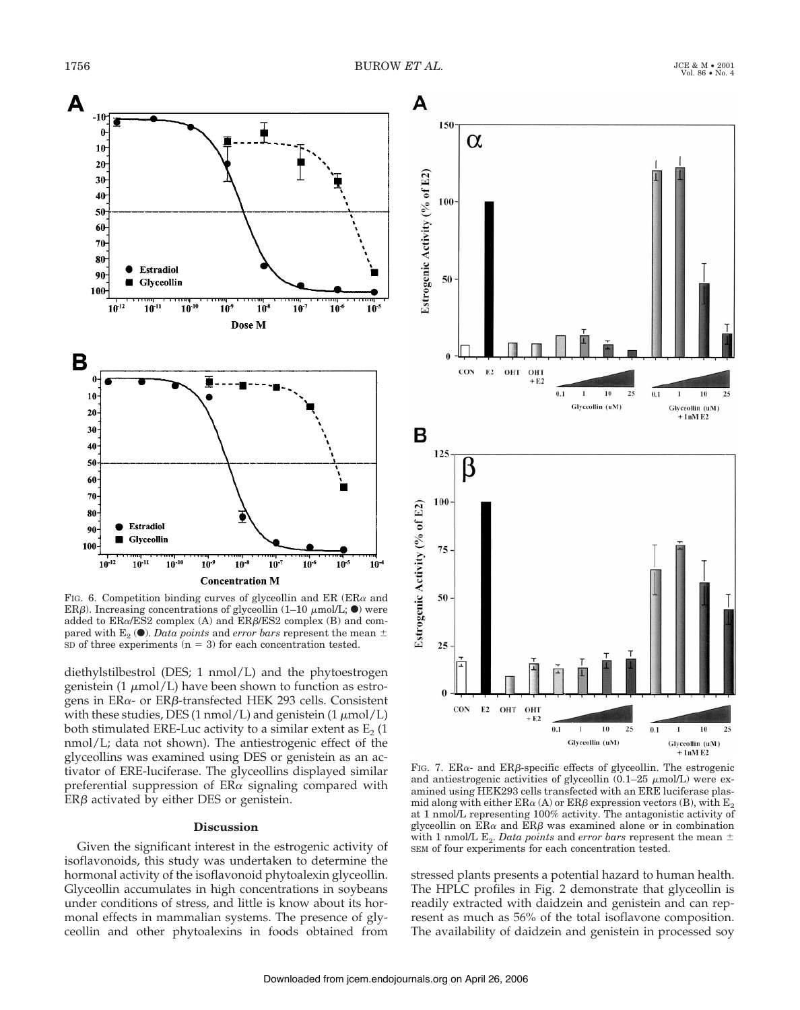

FIG. 6. Competition binding curves of glyceollin and ER (ER $\alpha$  and ER $\beta$ ). Increasing concentrations of glyceollin (1–10  $\mu$ mol/L;  $\bullet$ ) were added to  $ER\alpha/ES2$  complex (A) and  $ER\beta/ES2$  complex (B) and compared with  $E_2$  ( $\bullet$ ). *Data points* and *error bars* represent the mean  $\pm$ SD of three experiments  $(n = 3)$  for each concentration tested.

diethylstilbestrol (DES; 1 nmol/L) and the phytoestrogen genistein (1  $\mu$ mol/L) have been shown to function as estrogens in  $ER\alpha$ - or  $ER\beta$ -transfected HEK 293 cells. Consistent with these studies, DES (1 nmol/L) and genistein (1  $\mu$ mol/L) both stimulated ERE-Luc activity to a similar extent as  $E_2$  (1 nmol/L; data not shown). The antiestrogenic effect of the glyceollins was examined using DES or genistein as an activator of ERE-luciferase. The glyceollins displayed similar preferential suppression of  $ER\alpha$  signaling compared with  $ER\beta$  activated by either DES or genistein.

## **Discussion**

Given the significant interest in the estrogenic activity of isoflavonoids, this study was undertaken to determine the hormonal activity of the isoflavonoid phytoalexin glyceollin. Glyceollin accumulates in high concentrations in soybeans under conditions of stress, and little is know about its hormonal effects in mammalian systems. The presence of glyceollin and other phytoalexins in foods obtained from



FIG. 7. ER $\alpha$ - and ER $\beta$ -specific effects of glyceollin. The estrogenic and antiestrogenic activities of glyceollin  $(0.1-25 \mu m o/L)$  were examined using HEK293 cells transfected with an ERE luciferase plasmid along with either  $ER\alpha(A)$  or  $ER\beta$  expression vectors (B), with  $E_2$ at 1 nmol/L representing 100% activity. The antagonistic activity of glyceollin on  $ER\alpha$  and  $ER\beta$  was examined alone or in combination with 1 nmol/L  $E_2$ . *Data points* and *error bars* represent the mean  $\pm$ SEM of four experiments for each concentration tested.

stressed plants presents a potential hazard to human health. The HPLC profiles in Fig. 2 demonstrate that glyceollin is readily extracted with daidzein and genistein and can represent as much as 56% of the total isoflavone composition. The availability of daidzein and genistein in processed soy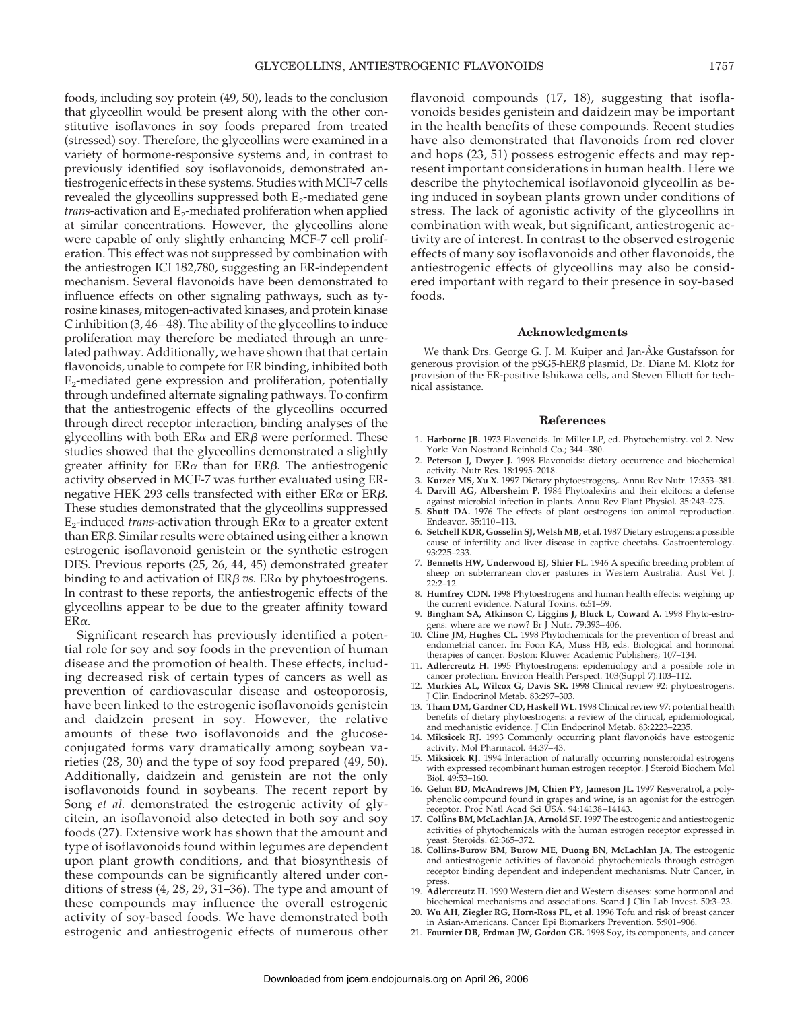foods, including soy protein (49, 50), leads to the conclusion that glyceollin would be present along with the other constitutive isoflavones in soy foods prepared from treated (stressed) soy. Therefore, the glyceollins were examined in a variety of hormone-responsive systems and, in contrast to previously identified soy isoflavonoids, demonstrated antiestrogenic effects in these systems. Studies with MCF-7 cells revealed the glyceollins suppressed both  $E_2$ -mediated gene *trans*-activation and E<sub>2</sub>-mediated proliferation when applied at similar concentrations. However, the glyceollins alone were capable of only slightly enhancing MCF-7 cell proliferation. This effect was not suppressed by combination with the antiestrogen ICI 182,780, suggesting an ER-independent mechanism. Several flavonoids have been demonstrated to influence effects on other signaling pathways, such as tyrosine kinases, mitogen-activated kinases, and protein kinase C inhibition (3, 46–48). The ability of the glyceollins to induce proliferation may therefore be mediated through an unrelated pathway. Additionally, we have shown that that certain flavonoids, unable to compete for ER binding, inhibited both  $E<sub>2</sub>$ -mediated gene expression and proliferation, potentially through undefined alternate signaling pathways. To confirm that the antiestrogenic effects of the glyceollins occurred through direct receptor interaction**,** binding analyses of the glyceollins with both  $ER\alpha$  and  $ER\beta$  were performed. These studies showed that the glyceollins demonstrated a slightly greater affinity for  $ER\alpha$  than for  $ER\beta$ . The antiestrogenic activity observed in MCF-7 was further evaluated using ERnegative HEK 293 cells transfected with either  $ER\alpha$  or  $ER\beta$ . These studies demonstrated that the glyceollins suppressed  $E_2$ -induced *trans*-activation through  $ER\alpha$  to a greater extent than  $ER\beta$ . Similar results were obtained using either a known estrogenic isoflavonoid genistein or the synthetic estrogen DES. Previous reports (25, 26, 44, 45) demonstrated greater binding to and activation of  $ER\beta$  *vs.*  $ER\alpha$  by phytoestrogens. In contrast to these reports, the antiestrogenic effects of the glyceollins appear to be due to the greater affinity toward  $ER\alpha$ .

Significant research has previously identified a potential role for soy and soy foods in the prevention of human disease and the promotion of health. These effects, including decreased risk of certain types of cancers as well as prevention of cardiovascular disease and osteoporosis, have been linked to the estrogenic isoflavonoids genistein and daidzein present in soy. However, the relative amounts of these two isoflavonoids and the glucoseconjugated forms vary dramatically among soybean varieties (28, 30) and the type of soy food prepared (49, 50). Additionally, daidzein and genistein are not the only isoflavonoids found in soybeans. The recent report by Song *et al.* demonstrated the estrogenic activity of glycitein, an isoflavonoid also detected in both soy and soy foods (27). Extensive work has shown that the amount and type of isoflavonoids found within legumes are dependent upon plant growth conditions, and that biosynthesis of these compounds can be significantly altered under conditions of stress (4, 28, 29, 31–36). The type and amount of these compounds may influence the overall estrogenic activity of soy-based foods. We have demonstrated both estrogenic and antiestrogenic effects of numerous other

flavonoid compounds (17, 18), suggesting that isoflavonoids besides genistein and daidzein may be important in the health benefits of these compounds. Recent studies have also demonstrated that flavonoids from red clover and hops (23, 51) possess estrogenic effects and may represent important considerations in human health. Here we describe the phytochemical isoflavonoid glyceollin as being induced in soybean plants grown under conditions of stress. The lack of agonistic activity of the glyceollins in combination with weak, but significant, antiestrogenic activity are of interest. In contrast to the observed estrogenic effects of many soy isoflavonoids and other flavonoids, the antiestrogenic effects of glyceollins may also be considered important with regard to their presence in soy-based foods.

#### **Acknowledgments**

We thank Drs. George G. J. M. Kuiper and Jan-Åke Gustafsson for generous provision of the pSG5-hER $\beta$  plasmid, Dr. Diane M. Klotz for provision of the ER-positive Ishikawa cells, and Steven Elliott for technical assistance.

#### **References**

- 1. **Harborne JB.** 1973 Flavonoids. In: Miller LP, ed. Phytochemistry. vol 2. New York: Van Nostrand Reinhold Co.; 344–380.
- 2. **Peterson J, Dwyer J.** 1998 Flavonoids: dietary occurrence and biochemical activity. Nutr Res. 18:1995–2018.
- 3. **Kurzer MS, Xu X.** 1997 Dietary phytoestrogens,. Annu Rev Nutr. 17:353–381. 4. **Darvill AG, Albersheim P.** 1984 Phytoalexins and their elcitors: a defense
- against microbial infection in plants. Annu Rev Plant Physiol. 35:243–275. 5. **Shutt DA.** 1976 The effects of plant oestrogens ion animal reproduction. Endeavor. 35:110–113.
- 6. **Setchell KDR, Gosselin SJ, Welsh MB, et al.** 1987 Dietary estrogens: a possible cause of infertility and liver disease in captive cheetahs. Gastroenterology. 93:225–233.
- 7. **Bennetts HW, Underwood EJ, Shier FL.** 1946 A specific breeding problem of sheep on subterranean clover pastures in Western Australia. Aust Vet J.  $22.2 - 12$
- 8. **Humfrey CDN.** 1998 Phytoestrogens and human health effects: weighing up the current evidence. Natural Toxins. 6:51–59.
- 9. **Bingham SA, Atkinson C, Liggins J, Bluck L, Coward A.** 1998 Phyto-estroens: where are we now? Br J Nutr. 79:393-406.
- 10. **Cline JM, Hughes CL.** 1998 Phytochemicals for the prevention of breast and endometrial cancer. In: Foon KA, Muss HB, eds. Biological and hormonal therapies of cancer. Boston: Kluwer Academic Publishers; 107–134.
- 11. **Adlercreutz H.** 1995 Phytoestrogens: epidemiology and a possible role in cancer protection. Environ Health Perspect. 103(Suppl 7):103–112.
- 12. **Murkies AL, Wilcox G, Davis SR.** 1998 Clinical review 92: phytoestrogens. Clin Endocrinol Metab. 83:297-303.
- 13. **Tham DM, Gardner CD, Haskell WL.** 1998 Clinicalreview 97: potential health benefits of dietary phytoestrogens: a review of the clinical, epidemiological, and mechanistic evidence. J Clin Endocrinol Metab. 83:2223–2235.
- 14. **Miksicek RJ.** 1993 Commonly occurring plant flavonoids have estrogenic activity. Mol Pharmacol. 44:37–43.
- 15. **Miksicek RJ.** 1994 Interaction of naturally occurring nonsteroidal estrogens with expressed recombinant human estrogen receptor. J Steroid Biochem Mol Biol. 49:53–160.
- 16. **Gehm BD, McAndrews JM, Chien PY, Jameson JL.** 1997 Resveratrol, a polyphenolic compound found in grapes and wine, is an agonist for the estrogen receptor. Proc Natl Acad Sci USA. 94:14138–14143.
- 17. **Collins BM, McLachlan JA, Arnold SF.** 1997 The estrogenic and antiestrogenic activities of phytochemicals with the human estrogen receptor expressed in yeast. Steroids. 62:365–372.
- 18. **Collins-Burow BM, Burow ME, Duong BN, McLachlan JA,** The estrogenic and antiestrogenic activities of flavonoid phytochemicals through estrogen receptor binding dependent and independent mechanisms. Nutr Cancer, in press.
- 19. **Adlercreutz H.** 1990 Western diet and Western diseases: some hormonal and biochemical mechanisms and associations. Scand J Clin Lab Invest. 50:3–23.
- 20. **Wu AH, Ziegler RG, Horn-Ross PL, et al.** 1996 Tofu and risk of breast cancer in Asian-Americans. Cancer Epi Biomarkers Prevention. 5:901–906.
- 21. **Fournier DB, Erdman JW, Gordon GB.** 1998 Soy, its components, and cancer